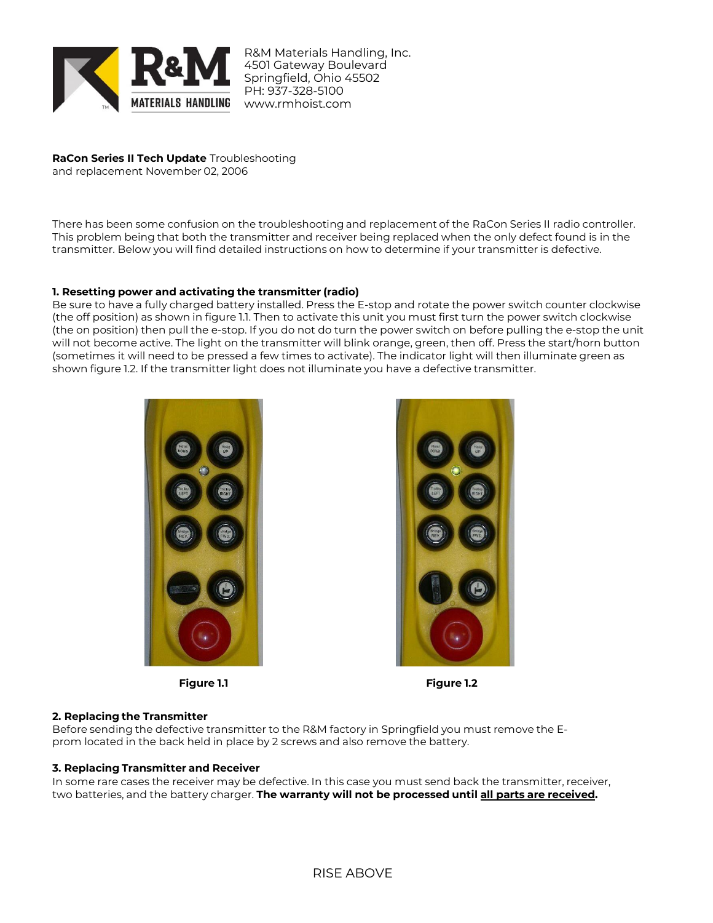

R&M Materials Handling, Inc. 4501 Gateway Boulevard Springfield, Ohio 45502 PH: 937-328-5100 www.rmhoist.com

# **RaCon Series II Tech Update** Troubleshooting

and replacement November 02, 2006

There has been some confusion on the troubleshooting and replacement of the RaCon Series II radio controller. This problem being that both the transmitter and receiver being replaced when the only defect found is in the transmitter. Below you will find detailed instructions on how to determine if your transmitter is defective.

## **1. Resetting power and activating the transmitter (radio)**

Be sure to have a fully charged battery installed. Press the E-stop and rotate the power switch counter clockwise (the off position) as shown in figure 1.1. Then to activate this unit you must first turn the power switch clockwise (the on position) then pull the e-stop. If you do not do turn the power switch on before pulling the e-stop the unit will not become active. The light on the transmitter will blink orange, green, then off. Press the start/horn button (sometimes it will need to be pressed a few times to activate). The indicator light will then illuminate green as shown figure 1.2. If the transmitter light does not illuminate you have a defective transmitter.





**Figure 1.1 Figure 1.2**

### **2. Replacing the Transmitter**

Before sending the defective transmitter to the R&M factory in Springfield you must remove the Eprom located in the back held in place by 2 screws and also remove the battery.

### **3. Replacing Transmitter and Receiver**

In some rare cases the receiver may be defective. In this case you must send back the transmitter, receiver, two batteries, and the battery charger. **The warranty will not be processed until all parts are received.**